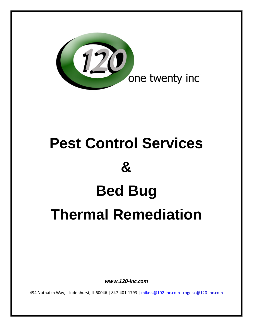

# **Pest Control Services & Bed Bug Thermal Remediation**

*www.120‐inc.com*

494 Nuthatch Way, Lindenhurst, IL 60046 | 847-401-1793 | [mike.s@102](mailto:mike.s@102-inc.com)-inc.com | roger.c@120-inc.com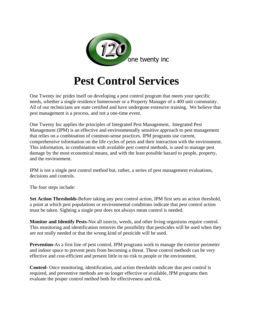

# **Pest Control Services**

One Twenty inc prides itself on developing a pest control program that meets your specific needs, whether a single residence homeowner or a Property Manager of a 400 unit community. All of our technicians are state certified and have undergone extensive training. We believe that pest management is a process, and not a one-time event.

One Twenty Inc applies the principles of Integrated Pest Management, Integrated Pest Management (IPM) is an effective and environmentally sensitive approach to pest management that relies on a combination of common-sense practices. IPM programs use current, comprehensive information on the life cycles of pests and their interaction with the environment. This information, in combination with available pest control methods, is used to manage pest damage by the most economical means, and with the least possible hazard to people, property, and the environment.

IPM is not a single pest control method but, rather, a series of pest management evaluations, decisions and controls.

The four steps include:

**Set Action Thresholds-**Before taking any pest control action, IPM first sets an action threshold, a point at which pest populations or environmental conditions indicate that pest control action must be taken. Sighting a single pest does not always mean control is needed.

**Monitor and Identify Pests-**Not all insects, weeds, and other living organisms require control. This monitoring and identification removes the possibility that pesticides will be used when they are not really needed or that the wrong kind of pesticide will be used.

**Prevention-**As a first line of pest control, IPM programs work to manage the exterior perimeter and indoor space to prevent pests from becoming a threat. These control methods can be very effective and cost-efficient and present little to no risk to people or the environment.

**Control-** Once monitoring, identification, and action thresholds indicate that pest control is required, and preventive methods are no longer effective or available, IPM programs then evaluate the proper control method both for effectiveness and risk.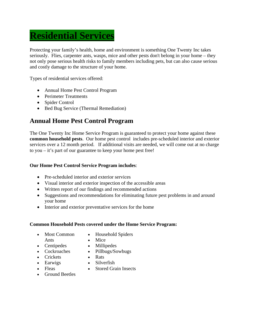# **Residential Services**

Protecting your family's health, home and environment is something One Twenty Inc takes seriously. Flies, [carpenter ants,](http://www.rosepestsolutions.com/pests/carpenter-ant) [wasps,](http://www.rosepestsolutions.com/pests/stinging-insects) [mice](http://www.rosepestsolutions.com/pests/house-mouse) and other pests don't belong in your home – they not only pose serious health risks to family members including pets, but can also cause serious and costly damage to the structure of your home.

Types of residential services offered:

- Annual Home Pest Control Program
- Perimeter Treatments
- Spider Control
- Bed Bug Service (Thermal Remediation)

### **Annual Home Pest Control Program**

The One Twenty Inc Home Service Program is guaranteed to protect your home against these **common household pests**. Our home pest control includes pre-scheduled interior and exterior services over a 12 month period. If additional visits are needed, we will come out at no charge to you – it's part of our guarantee to keep your home pest free!

#### **Our Home Pest Control Service Program includes**:

- Pre-scheduled interior and exterior services
- Visual interior and exterior inspection of the accessible areas
- Written report of our findings and recommended actions
- Suggestions and recommendations for eliminating future pest problems in and around your home
- Interior and exterior preventative services for the home

#### **Common Household Pests covered under the Home Service Program:**

- Most Common Ants
- Household Spiders
- Mice

• Rats

- Centipedes
- Millipedes • Pillbugs/Sowbugs
- Cockroaches
- Crickets
- Earwigs
- Silverfish
- Fleas
- 
- Ground Beetles
- Stored Grain Insects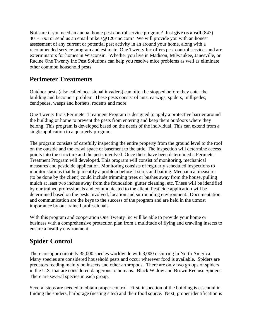Not sure if you need an annual home pest control service program? Just **[give us a call](http://www.rosepestsolutions.com/contact-rose)** (847) 401-1793 or send us an email mike.s@120-inc.com? We will provide you with an honest assessment of any current or potential pest activity in an around your home, along with a recommended service program and estimate. One Twenty Inc offers pest control services and are exterminators for homes in Wisconsin. Whether you live in Madison, Milwaukee, Janesville, or Racine One Twenty Inc Pest Solutions can help you resolve mice problems as well as eliminate other common household pests.

### **Perimeter Treatments**

Outdoor pests (also called occasional invaders) can often be stopped before they enter the building and become a problem. These pests consist of ants, earwigs, spiders, millipedes, centipedes, wasps and hornets, rodents and more.

One Twenty Inc's Perimeter Treatment Program is designed to apply a protective barrier around the building or home to prevent the pests from entering and keep them outdoors where they belong. This program is developed based on the needs of the individual. This can extend from a single application to a quarterly program.

The program consists of carefully inspecting the entire property from the ground level to the roof on the outside and the crawl space or basement to the attic. The inspection will determine access points into the structure and the pests involved. Once these have been determined a Perimeter Treatment Program will developed. This program will consist of monitoring, mechanical measures and pesticide application. Monitoring consists of regularly scheduled inspections to monitor stations that help identify a problem before it starts and baiting. Mechanical measures (to be done by the client) could include trimming trees or bushes away from the house, pulling mulch at least two inches away from the foundation, gutter cleaning, etc. These will be identified by our trained professionals and communicated to the client. Pesticide application will be determined based on the pests involved, location and surrounding environment. Documentation and communication are the keys to the success of the program and are held in the utmost importance by our trained professionals

With this program and cooperation One Twenty Inc will be able to provide your home or business with a comprehensive protection plan from a multitude of flying and crawling insects to ensure a healthy environment.

### **Spider Control**

There are approximately 35,000 species worldwide with 3,000 occurring in North America. Many species are considered household pests and occur wherever food is available. Spiders are predators feeding mainly on insects and other arthropods. There are only two groups of spiders in the U.S. that are considered dangerous to humans: Black Widow and Brown Recluse Spiders. There are several species in each group.

Several steps are needed to obtain proper control. First, inspection of the building is essential in finding the spiders, harborage (nesting sites) and their food source. Next, proper identification is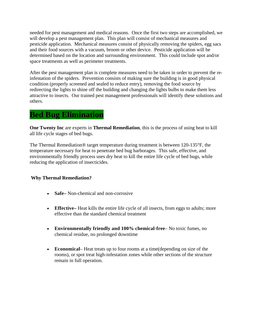needed for pest management and medical reasons. Once the first two steps are accomplished, we will develop a pest management plan. This plan will consist of mechanical measures and pesticide application. Mechanical measures consist of physically removing the spiders, egg sacs and their food sources with a vacuum, broom or other device. Pesticide application will be determined based on the location and surrounding environment. This could include spot and/or space treatments as well as perimeter treatments.

After the pest management plan is complete measures need to be taken in order to prevent the reinfestation of the spiders. Prevention consists of making sure the building is in good physical condition (properly screened and sealed to reduce entry), removing the food source by redirecting the lights to shine off the building and changing the lights bulbs to make them less attractive to insects. Our trained pest management professionals will identify these solutions and others.

### **Bed Bug Elimination**

**One Twenty Inc** are experts in **Thermal Remediation**, this is the process of using heat to kill all life cycle stages of bed bugs.

The Thermal Remediation® target temperature during treatment is between 120-135°F, the temperature necessary for heat to penetrate bed bug harborages. This safe, effective, and environmentally friendly process uses dry heat to kill the entire life cycle of bed bugs, while reducing the application of insecticides.

#### **Why Thermal Remediation?**

- **Safe–** Non-chemical and non-corrosive
- **Effective–** Heat kills the entire life cycle of all insects, from eggs to adults; more effective than the standard chemical treatment
- **Environmentally friendly and 100% chemical-free** No toxic fumes, no chemical residue, no prolonged downtime
- **Economical** Heat treats up to four rooms at a time(depending on size of the rooms), or spot treat high-infestation zones while other sections of the structure remain in full operation.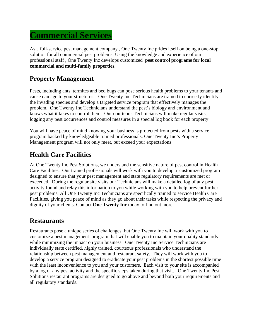## **Commercial Services**

As a full-service pest management company , One Twenty Inc prides itself on being a one-stop solution for all commercial pest problems. Using the knowledge and experience of our professional staff , One Twenty Inc develops customized **pest control programs for local commercial and multi-family properties.**

### **Property Management**

Pests, including ants, termites and bed bugs can pose serious health problems to your tenants and cause damage to your structures. One Twenty Inc Technicians are trained to correctly identify the invading species and develop a targeted service program that effectively manages the problem. One Twenty Inc Technicians understand the pest's biology and environment and knows what it takes to control them. Our courteous Technicians will make regular visits, logging any pest occurrences and control measures in a special log book for each property.

You will have peace of mind knowing your business is protected from pests with a service program backed by knowledgeable trained professionals. One Twenty Inc's Property Management program will not only meet, but exceed your expectations

#### **Health Care Facilities**

At One Twenty Inc Pest Solutions, we understand the sensitive nature of pest control in Health Care Facilities. Our trained professionals will work with you to develop a customized program designed to ensure that your pest management and state regulatory requirements are met or exceeded. During the regular site visits our Technicians will make a detailed log of any pest activity found and relay this information to you while working with you to help prevent further pest problems. All One Twenty Inc Technicians are specifically trained to service Health Care Facilities, giving you peace of mind as they go about their tasks while respecting the privacy and dignity of your clients. Contact **One Twenty Inc** today to find out more.

#### **Restaurants**

Restaurants pose a unique series of challenges, but One Twenty Inc will work with you to customize a pest management program that will enable you to maintain your quality standards while minimizing the impact on your business. One Twenty Inc Service Technicians are individually state certified, highly trained, courteous professionals who understand the relationship between pest management and restaurant safety. They will work with you to develop a service program designed to eradicate your pest problems in the shortest possible time with the least inconvenience to you and your customers. Each visit to your site is accompanied by a log of any pest activity and the specific steps taken during that visit. One Twenty Inc Pest Solutions restaurant programs are designed to go above and beyond both your requirements and all regulatory standards.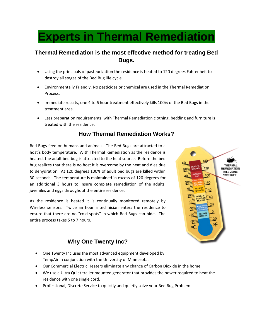# **Experts in Thermal Remediation**

#### **Thermal Remediation is the most effective method for treating Bed Bugs.**

- Using the principals of pasteurization the residence is heated to 120 degrees Fahrenheit to destroy all stages of the Bed Bug life cycle.
- Environmentally Friendly, No pesticides or chemical are used in the Thermal Remediation Process.
- Immediate results, one 4 to 6 hour treatment effectively kills 100% of the Bed Bugs in the treatment area.
- Less preparation requirements, with Thermal Remediation clothing, bedding and furniture is treated with the residence.

#### **How Thermal Remediation Works?**

Bed Bugs feed on humans and animals. The Bed Bugs are attracted to a host's body temperature. With Thermal Remediation as the residence is heated, the adult bed bug is attracted to the heat source. Before the bed bug realizes that there is no host it is overcome by the heat and dies due to dehydration. At 120 degrees 100% of adult bed bugs are killed within 30 seconds. The temperature is maintained in excess of 120 degrees for an additional 3 hours to insure complete remediation of the adults, juveniles and eggs throughout the entire residence.

As the residence is heated it is continually monitored remotely by Wireless sensors. Twice an hour a technician enters the residence to ensure that there are no "cold spots" in which Bed Bugs can hide. The entire process takes 5 to 7 hours.

# **THERMA** REMEDIATION **KILL ZONE** 120°-140°F  $\overline{00}$ 80 60 **DEATH R**

#### **Why One Twenty Inc?**

- One Twenty Inc uses the most advanced equipment developed by TempAir in conjunction with the University of Minnesota.
- Our Commercial Electric Heaters eliminate any chance of Carbon Dioxide in the home.
- We use a Ultra Quiet trailer mounted generator that provides the power required to heat the residence with one single cord.
- Professional, Discrete Service to quickly and quietly solve your Bed Bug Problem.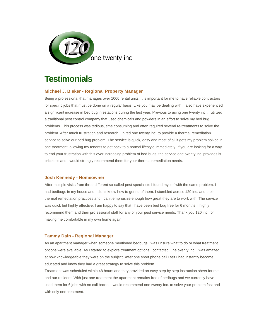

### **Testimonials**

#### **Michael J. Bleker - Regional Property Manager**

Being a professional that manages over 1000 rental units, it is important for me to have reliable contractors for specific jobs that must be done on a regular basis. Like you may be dealing with, I also have experienced a significant increase in bed bug infestations during the last year. Previous to using one twenty inc., I utilized a traditional pest control company that used chemicals and powders in an effort to solve my bed bug problems. This process was tedious, time consuming and often required several re-treatments to solve the problem. After much frustration and research, I hired one twenty inc. to provide a thermal remediation service to solve our bed bug problem. The service is quick, easy and most of all it gets my problem solved in one treatment, allowing my tenants to get back to a normal lifestyle immediately. If you are looking for a way to end your frustration with this ever increasing problem of bed bugs, the service one twenty inc. provides is priceless and I would strongly recommend them for your thermal remediation needs.

#### **Josh Kennedy - Homeowner**

After multiple visits from three different so-called pest specialists I found myself with the same problem. I had bedbugs in my house and I didn't know how to get rid of them. I stumbled across 120 inc. and their thermal remediation practices and I can't emphasize enough how great they are to work with. The service was quick but highly effective. I am happy to say that I have been bed bug free for 6 months. I highly recommend them and their professional staff for any of your pest service needs. Thank you 120 inc. for making me comfortable in my own home again!!!

#### **Tammy Dain - Regional Manager**

As an apartment manager when someone mentioned bedbugs I was unsure what to do or what treatment options were available. As I started to explore treatment options I contacted One twenty Inc. I was amazed at how knowledgeable they were on the subject. After one short phone call I felt I had instantly become educated and knew they had a great strategy to solve this problem.

Treatment was scheduled within 48 hours and they provided an easy step by step instruction sheet for me and our resident. With just one treatment the apartment remains free of bedbugs and we currently have used them for 6 jobs with no call backs. I would recommend one twenty Inc. to solve your problem fast and with only one treatment.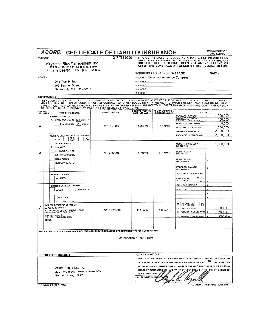| <b>PRODUCER</b>                                                    |                                                                                                                                                                                                                                                                                                                                                                                                                                                                                      | 217-732-9720         |                                                                                |                                                                       | THIS CERTIFICATE IS ISSUED AS A MATTER OF INFORMATION<br>ONLY AND CONFERS NO RIGHTS UPON THE CERTIFICATE |               |
|--------------------------------------------------------------------|--------------------------------------------------------------------------------------------------------------------------------------------------------------------------------------------------------------------------------------------------------------------------------------------------------------------------------------------------------------------------------------------------------------------------------------------------------------------------------------|----------------------|--------------------------------------------------------------------------------|-----------------------------------------------------------------------|----------------------------------------------------------------------------------------------------------|---------------|
|                                                                    | Keystone Risk Management, Inc.<br>1221 State Route 121, Lincoln, IL 62656                                                                                                                                                                                                                                                                                                                                                                                                            |                      |                                                                                |                                                                       | HOLDER. THIS CERTIFICATE DOES NOT AMEND, EXTEND OR<br>ALTER THE COVERAGE AFFORDED BY THE POLICIES BELOW. |               |
|                                                                    | FAX: (217) 732-1063<br>TEL: (217) 732-9720                                                                                                                                                                                                                                                                                                                                                                                                                                           |                      |                                                                                |                                                                       |                                                                                                          |               |
|                                                                    |                                                                                                                                                                                                                                                                                                                                                                                                                                                                                      |                      |                                                                                | <b>INSURERS AFFORDING COVERAGE</b>                                    |                                                                                                          | <b>NAIC#</b>  |
| <b>INSURED</b>                                                     |                                                                                                                                                                                                                                                                                                                                                                                                                                                                                      |                      |                                                                                | INSURER A Selective Insurance Company                                 |                                                                                                          |               |
| One Twenty, Inc.<br>469 Sumner Street<br>Genoa City, WI 53128-2077 |                                                                                                                                                                                                                                                                                                                                                                                                                                                                                      |                      | <b>INSURER B</b>                                                               |                                                                       |                                                                                                          |               |
|                                                                    |                                                                                                                                                                                                                                                                                                                                                                                                                                                                                      |                      | <b>INSURER C</b>                                                               |                                                                       |                                                                                                          |               |
|                                                                    |                                                                                                                                                                                                                                                                                                                                                                                                                                                                                      |                      | <b>INSURERD</b>                                                                |                                                                       |                                                                                                          |               |
|                                                                    | <b>COVERAGES</b>                                                                                                                                                                                                                                                                                                                                                                                                                                                                     |                      | <b>INSURERE</b>                                                                |                                                                       |                                                                                                          |               |
|                                                                    | THE POLICIES OF INSURANCE LISTED BELOW HAVE BEEN ISSUED TO THE INSURED NAMED ABOVE FOR THE POLICY PERIOD INDICATED. NOTWITHSTANDING<br>ANY REQUIREMENT, TERM OR CONDITION OF ANY CONTRACT OR OTHER DOCUMENT WITH RESPECT TO WHICH THIS CERTIFICATE MAY BE ISSUED OR<br>MAY PERTAIN, THE INSURANCE AFFORDED BY THE POLICIES DESCRIBED HEREIN IS SUBJECT TO ALL THE TERMS, EXCLUSIONS AND CONDITIONS OF SUCH<br>POLICIES. AGGREGATE LIMITS SHOWN MAY HAVE BEEN REDUCED BY PAID CLAIMS. |                      |                                                                                |                                                                       |                                                                                                          |               |
| INSR ADD'L<br>LTR INSRD                                            | TYPE OF INSURANCE                                                                                                                                                                                                                                                                                                                                                                                                                                                                    | <b>POLICY NUMBER</b> |                                                                                | POLICY EFFECTIVE POLICY EXPIRATION<br>DATE (MM/DD/YY) DATE (MM/DD/YY) | LIMITS                                                                                                   |               |
|                                                                    | <b>GENERAL LIABILITY</b>                                                                                                                                                                                                                                                                                                                                                                                                                                                             |                      |                                                                                |                                                                       | s<br><b>EACH OCCURRENCE</b>                                                                              | 1,000,000.    |
|                                                                    | ΧI<br>COMMERCIAL GENERAL LIABILITY                                                                                                                                                                                                                                                                                                                                                                                                                                                   |                      |                                                                                |                                                                       | DAMAGE TO RENTED<br>5<br>PREMISES (Ea occurence)                                                         | 100,000       |
| Α                                                                  | $X$ $occ$<br>CLAIMS MADE                                                                                                                                                                                                                                                                                                                                                                                                                                                             | S 1919560            | 11/09/09                                                                       | 11/09/10                                                              | \$<br>MED EXP (Any one person)                                                                           | 5,000         |
|                                                                    |                                                                                                                                                                                                                                                                                                                                                                                                                                                                                      |                      |                                                                                |                                                                       | PERSONAL & ADV INJURY<br>s                                                                               | 1,000,000     |
|                                                                    |                                                                                                                                                                                                                                                                                                                                                                                                                                                                                      |                      |                                                                                |                                                                       | \$<br><b>GENERAL AGGREGATE</b>                                                                           | 2,000,000     |
|                                                                    | GEN'L AGGREGATE LIMIT APPLIES PER<br>PRO-<br>JECT<br>POLICY<br>LOC                                                                                                                                                                                                                                                                                                                                                                                                                   |                      |                                                                                |                                                                       | PRODUCTS - COMP/OP AGG<br>s                                                                              | 2.000.000.    |
|                                                                    | <b>AUTOMOBILE LIABILITY</b>                                                                                                                                                                                                                                                                                                                                                                                                                                                          |                      |                                                                                |                                                                       | COMBINED SINGLE LIMIT                                                                                    |               |
|                                                                    | х<br>ANY AUTO                                                                                                                                                                                                                                                                                                                                                                                                                                                                        |                      |                                                                                |                                                                       | Ŝ<br>(Ea accident)                                                                                       | 1,000,000.    |
|                                                                    | ALL OWNED AUTOS                                                                                                                                                                                                                                                                                                                                                                                                                                                                      |                      |                                                                                |                                                                       | <b>BODILY INJURY</b><br>\$                                                                               |               |
| Α                                                                  | SCHEDULED AUTOS                                                                                                                                                                                                                                                                                                                                                                                                                                                                      | S 1919560            | 11/09/09                                                                       | 11/09/10                                                              | (Per person)                                                                                             |               |
|                                                                    | HIRED AUTOS                                                                                                                                                                                                                                                                                                                                                                                                                                                                          |                      |                                                                                |                                                                       | <b>BODILY INJURY</b><br>z<br>(Per accident)                                                              |               |
|                                                                    | NON-OWNED AUTOS                                                                                                                                                                                                                                                                                                                                                                                                                                                                      |                      |                                                                                |                                                                       |                                                                                                          |               |
|                                                                    |                                                                                                                                                                                                                                                                                                                                                                                                                                                                                      |                      |                                                                                |                                                                       | PROPERTY DAMAGE<br>\$<br>(Per accident)                                                                  |               |
|                                                                    | <b>GARAGE LIABILITY</b>                                                                                                                                                                                                                                                                                                                                                                                                                                                              |                      |                                                                                |                                                                       | AUTO ONLY - EA ACCIDENT<br>s                                                                             |               |
|                                                                    | ANY AUTO                                                                                                                                                                                                                                                                                                                                                                                                                                                                             |                      |                                                                                |                                                                       | s<br>EA ACC<br>OTHER THAN                                                                                |               |
|                                                                    |                                                                                                                                                                                                                                                                                                                                                                                                                                                                                      |                      |                                                                                |                                                                       | AUTO ONLY<br>AGG<br>s                                                                                    |               |
|                                                                    | EXCESS/UMBRELLA LIABILITY                                                                                                                                                                                                                                                                                                                                                                                                                                                            |                      |                                                                                |                                                                       | EACH OCCURRENCE<br>ŝ                                                                                     |               |
|                                                                    | <b>CLAIMS MADE</b><br>CCCUR                                                                                                                                                                                                                                                                                                                                                                                                                                                          |                      |                                                                                |                                                                       | AGGREGATE<br>\$                                                                                          |               |
|                                                                    |                                                                                                                                                                                                                                                                                                                                                                                                                                                                                      |                      |                                                                                |                                                                       | \$                                                                                                       |               |
|                                                                    | <b>DEDUCTIBLE</b>                                                                                                                                                                                                                                                                                                                                                                                                                                                                    |                      |                                                                                |                                                                       | s<br>s                                                                                                   |               |
|                                                                    | RETENTION<br>s<br>WORKERS COMPENSATION AND                                                                                                                                                                                                                                                                                                                                                                                                                                           |                      |                                                                                |                                                                       | OTH <sub></sub><br>X VCSTATU                                                                             |               |
| A                                                                  | <b>EMPLOYERS' LIABILITY</b>                                                                                                                                                                                                                                                                                                                                                                                                                                                          |                      |                                                                                |                                                                       | E L. EACH ACCIDENT                                                                                       | 500,000<br>\$ |
|                                                                    | ANY PROPRIETOR/PARTNER/EXECUTIVE<br>OFFICER/MEMBER EXCLUDED?                                                                                                                                                                                                                                                                                                                                                                                                                         | WC 7973336           | 11/09/09                                                                       | 11/09/10                                                              | EL DISEASE / EAEMPLOYEE   \$                                                                             | 500,000       |
|                                                                    | if yes, describe under<br>SPECIAL PROVISIONS below                                                                                                                                                                                                                                                                                                                                                                                                                                   |                      |                                                                                |                                                                       | E.L. DISEASE > POLICY LIMIT<br>s                                                                         | 500,000.      |
|                                                                    | OTHER                                                                                                                                                                                                                                                                                                                                                                                                                                                                                |                      |                                                                                |                                                                       |                                                                                                          |               |
|                                                                    |                                                                                                                                                                                                                                                                                                                                                                                                                                                                                      |                      |                                                                                |                                                                       |                                                                                                          |               |
|                                                                    | DESCRIPTION OF OPERATIONS / LOCATIONS / VEHICLES / EXCLUSIONS ADDED BY ENDORSEMENT / SPECIAL PROVISIONS                                                                                                                                                                                                                                                                                                                                                                              |                      |                                                                                |                                                                       |                                                                                                          |               |
|                                                                    |                                                                                                                                                                                                                                                                                                                                                                                                                                                                                      |                      |                                                                                |                                                                       |                                                                                                          |               |
|                                                                    |                                                                                                                                                                                                                                                                                                                                                                                                                                                                                      |                      | <b>Extermination / Pest Control</b>                                            |                                                                       |                                                                                                          |               |
|                                                                    |                                                                                                                                                                                                                                                                                                                                                                                                                                                                                      |                      |                                                                                |                                                                       |                                                                                                          |               |
|                                                                    |                                                                                                                                                                                                                                                                                                                                                                                                                                                                                      |                      |                                                                                |                                                                       |                                                                                                          |               |
|                                                                    |                                                                                                                                                                                                                                                                                                                                                                                                                                                                                      |                      |                                                                                |                                                                       |                                                                                                          |               |
|                                                                    | <b>CERTIFICATE HOLDER</b>                                                                                                                                                                                                                                                                                                                                                                                                                                                            |                      | CANCELLATION                                                                   |                                                                       | SHOULD ANY OF THE ABOVE DESCRIBED POLICIES BE CANCELLED BEFORE THE EXPIRATION                            |               |
|                                                                    |                                                                                                                                                                                                                                                                                                                                                                                                                                                                                      |                      |                                                                                |                                                                       | DATE THEREOF, THE ISSUING INSURER WILL ENDEAVOR TO MAIL 10 DAYS WRITTEN                                  |               |
|                                                                    |                                                                                                                                                                                                                                                                                                                                                                                                                                                                                      |                      | NOTICE TO THE CERTIFICATE HOLDER NAMED TO THE LEFT, BUT FAILURE TO DO SO SHALL |                                                                       |                                                                                                          |               |
|                                                                    | Axiom Properties, Inc.                                                                                                                                                                                                                                                                                                                                                                                                                                                               |                      | IMPOSE NO OBLIGATION OF LIABILITY OF ANY KIND UPON THE INSURER, ITS AGENTS OR  |                                                                       |                                                                                                          |               |
|                                                                    | 2201 Waukegan Road / Suite 100<br>Bannockburn, II 60015                                                                                                                                                                                                                                                                                                                                                                                                                              |                      | REPRESENTATIVES.                                                               |                                                                       |                                                                                                          |               |
|                                                                    |                                                                                                                                                                                                                                                                                                                                                                                                                                                                                      |                      | <b>AUTHORIZED REPRESENT</b>                                                    |                                                                       |                                                                                                          |               |
|                                                                    |                                                                                                                                                                                                                                                                                                                                                                                                                                                                                      |                      |                                                                                |                                                                       |                                                                                                          |               |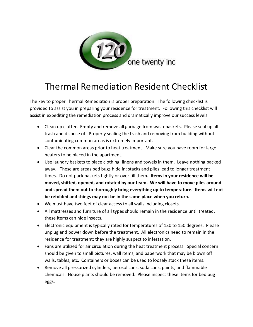

# Thermal Remediation Resident Checklist

The key to proper Thermal Remediation is proper preparation. The following checklist is provided to assist you in preparing your residence for treatment. Following this checklist will assist in expediting the remediation process and dramatically improve our success levels.

- Clean up clutter. Empty and remove all garbage from wastebaskets. Please seal up all trash and dispose of. Properly sealing the trash and removing from building without contaminating common areas is extremely important.
- Clear the common areas prior to heat treatment. Make sure you have room for large heaters to be placed in the apartment.
- Use laundry baskets to place clothing, linens and towels in them. Leave nothing packed away. These are areas bed bugs hide in; stacks and piles lead to longer treatment times. Do not pack baskets tightly or over fill them**. Items in your residence will be moved, shifted, opened, and rotated by our team. We will have to move piles around and spread them out to thoroughly bring everything up to temperature. Items will not be refolded and things may not be in the same place when you return.**
- We must have two feet of clear access to all walls including closets.
- All mattresses and furniture of all types should remain in the residence until treated, these items can hide insects.
- Electronic equipment is typically rated for temperatures of 130 to 150 degrees. Please unplug and power down before the treatment. All electronics need to remain in the residence for treatment; they are highly suspect to infestation.
- Fans are utilized for air circulation during the heat treatment process. Special concern should be given to small pictures, wall items, and paperwork that may be blown off walls, tables, etc. Containers or boxes can be used to loosely stack these items.
- Remove all pressurized cylinders, aerosol cans, soda cans, paints, and flammable chemicals. House plants should be removed. Please inspect these items for bed bug eggs.